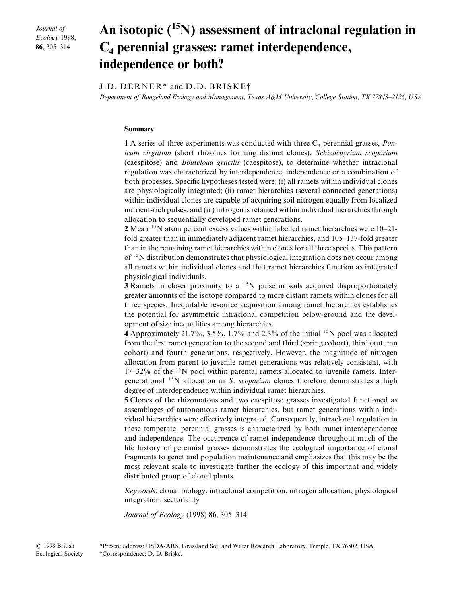Journal of Ecology 1998, 86, 305-314

# An isotopic  $(^{15}N)$  assessment of intraclonal regulation in  $C_4$  perennial grasses: ramet interdependence, independence or both<

## J.D. DERNER<sup>\*</sup> and D.D. BRISKE<sup>†</sup>

Department of Rangeland Ecology and Management, Texas A&M University, College Station, TX 77843–2126, USA

## Summary

1 A series of three experiments was conducted with three  $C_4$  perennial grasses, *Pan*icum virgatum (short rhizomes forming distinct clones), Schizachyrium scoparium (caespitose) and *Bouteloua gracilis* (caespitose), to determine whether intraclonal regulation was characterized by interdependence\ independence or a combination of both processes. Specific hypotheses tested were: (i) all ramets within individual clones are physiologically integrated; (ii) ramet hierarchies (several connected generations) within individual clones are capable of acquiring soil nitrogen equally from localized nutrient-rich pulses; and (iii) nitrogen is retained within individual hierarchies through allocation to sequentially developed ramet generations.

2 Mean  $15N$  atom percent excess values within labelled ramet hierarchies were  $10-21$ fold greater than in immediately adjacent ramet hierarchies, and  $105-137$ -fold greater than in the remaining ramet hierarchies within clones for all three species. This pattern  $\sigma$ <sup>15</sup>N distribution demonstrates that physiological integration does not occur among all ramets within individual clones and that ramet hierarchies function as integrated physiological individuals[

**3** Ramets in closer proximity to a  $^{15}N$  pulse in soils acquired disproportionately greater amounts of the isotope compared to more distant ramets within clones for all three species. Inequitable resource acquisition among ramet hierarchies establishes the potential for asymmetric intraclonal competition below-ground and the development of size inequalities among hierarchies.

4 Approximately 21.7%, 3.5%, 1.7% and 2.3% of the initial <sup>15</sup>N pool was allocated from the first ramet generation to the second and third (spring cohort), third (autumn cohort) and fourth generations, respectively. However, the magnitude of nitrogen allocation from parent to juvenile ramet generations was relatively consistent\ with  $17-32\%$  of the  $15N$  pool within parental ramets allocated to juvenile ramets. Intergenerational  $15N$  allocation in S. scoparium clones therefore demonstrates a high degree of interdependence within individual ramet hierarchies.

5 Clones of the rhizomatous and two caespitose grasses investigated functioned as assemblages of autonomous ramet hierarchies, but ramet generations within individual hierarchies were effectively integrated. Consequently, intraclonal regulation in these temperate\ perennial grasses is characterized by both ramet interdependence and independence. The occurrence of ramet independence throughout much of the life history of perennial grasses demonstrates the ecological importance of clonal fragments to genet and population maintenance and emphasizes that this may be the most relevant scale to investigate further the ecology of this important and widely distributed group of clonal plants.

Keywords: clonal biology, intraclonal competition, nitrogen allocation, physiological integration, sectoriality

Journal of Ecology  $(1998) 86, 305-314$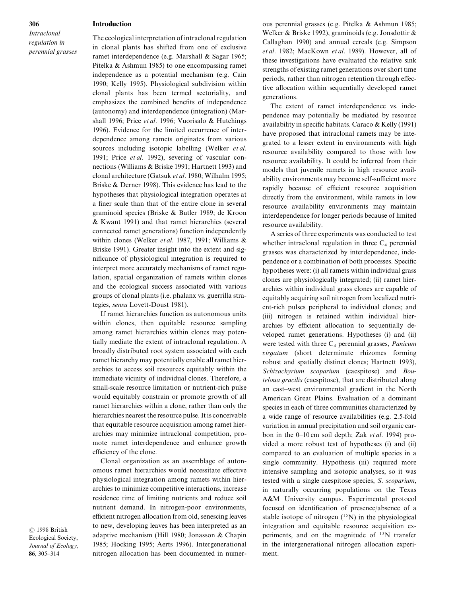#### Introduction

Intraclonal regulation in perennial grasses

The ecological interpretation of intraclonal regulation in clonal plants has shifted from one of exclusive ramet interdependence (e.g. Marshall  $&$  Sagar 1965; Pitelka  $\&$  Ashmun 1985) to one encompassing ramet independence as a potential mechanism (e.g. Cain 1990; Kelly 1995). Physiological subdivision within clonal plants has been termed sectoriality, and emphasizes the combined benefits of independence (autonomy) and interdependence (integration) (Marshall 1996; Price et al. 1996; Vuorisalo & Hutchings 1996). Evidence for the limited occurrence of interdependence among ramets originates from various sources including isotopic labelling (Welker  $et al.$ 1991; Price et al. 1992), severing of vascular connections (Williams  $&$  Briske 1991; Hartnett 1993) and clonal architecture (Gatsuk et al. 1980; Wilhalm 1995; Briske  $&$  Derner 1998). This evidence has lead to the hypotheses that physiological integration operates at a finer scale than that of the entire clone in several graminoid species (Briske  $\&$  Butler 1989; de Kroon  $&$  Kwant 1991) and that ramet hierarchies (several connected ramet generations) function independently within clones (Welker *et al.* 1987, 1991; Williams  $\&$ Briske 1991). Greater insight into the extent and significance of physiological integration is required to interpret more accurately mechanisms of ramet regulation, spatial organization of ramets within clones and the ecological success associated with various groups of clonal plants (i.e. phalanx vs. guerrilla strategies, sensu Lovett-Doust 1981).

If ramet hierarchies function as autonomous units within clones, then equitable resource sampling among ramet hierarchies within clones may potentially mediate the extent of intraclonal regulation. A broadly distributed root system associated with each ramet hierarchy may potentially enable all ramet hierarchies to access soil resources equitably within the immediate vicinity of individual clones. Therefore, a small-scale resource limitation or nutrient-rich pulse would equitably constrain or promote growth of all ramet hierarchies within a clone, rather than only the hierarchies nearest the resource pulse. It is conceivable that equitable resource acquisition among ramet hierarchies may minimize intraclonal competition, promote ramet interdependence and enhance growth efficiency of the clone.

Clonal organization as an assemblage of autonomous ramet hierarchies would necessitate effective physiological integration among ramets within hierarchies to minimize competitive interactions\ increase residence time of limiting nutrients and reduce soil nutrient demand. In nitrogen-poor environments, efficient nitrogen allocation from old, senescing leaves to new, developing leaves has been interpreted as an adaptive mechanism (Hill 1980; Jonasson  $&$  Chapin 1985; Hocking 1995; Aerts 1996). Intergenerational nitrogen allocation has been documented in numerous perennial grasses (e.g. Pitelka  $&$  Ashmun 1985; Welker & Briske 1992), graminoids (e.g. Jonsdottir  $\&$ Callaghan 1990) and annual cereals (e.g. Simpson et al. 1982; MacKown et al. 1989). However, all of these investigations have evaluated the relative sink strengths of existing ramet generations over short time periods, rather than nitrogen retention through effective allocation within sequentially developed ramet generations.

The extent of ramet interdependence vs. independence may potentially be mediated by resource availability in specific habitats. Caraco  $\&$  Kelly (1991) have proposed that intraclonal ramets may be integrated to a lesser extent in environments with high resource availability compared to those with low resource availability. It could be inferred from their models that juvenile ramets in high resource availability environments may become self-sufficient more rapidly because of efficient resource acquisition directly from the environment, while ramets in low resource availability environments may maintain interdependence for longer periods because of limited resource availability.

A series of three experiments was conducted to test whether intraclonal regulation in three  $C_4$  perennial grasses was characterized by interdependence, independence or a combination of both processes. Specific hypotheses were:  $(i)$  all ramets within individual grass clones are physiologically integrated; (ii) ramet hierarchies within individual grass clones are capable of equitably acquiring soil nitrogen from localized nutrient-rich pulses peripheral to individual clones; and (iii) nitrogen is retained within individual hierarchies by efficient allocation to sequentially developed ramet generations. Hypotheses (i) and (ii) were tested with three  $C_4$  perennial grasses, *Panicum*  $virgatum$  (short determinate rhizomes forming robust and spatially distinct clones; Hartnett 1993), Schizachyrium scoparium (caespitose) and Bouteloua gracilis (caespitose), that are distributed along an east–west environmental gradient in the North American Great Plains. Evaluation of a dominant species in each of three communities characterized by a wide range of resource availabilities (e.g. 2.5-fold variation in annual precipitation and soil organic carbon in the 0–10 cm soil depth; Zak *et al.* 1994) provided a more robust test of hypotheses (i) and (ii) compared to an evaluation of multiple species in a single community. Hypothesis (iii) required more intensive sampling and isotopic analyses\ so it was tested with a single caespitose species,  $S.$  scoparium, in naturally occurring populations on the Texas A&M University campus. Experimental protocol focused on identification of presence/absence of a stable isotope of nitrogen  $(^{15}N)$  in the physiological integration and equitable resource acquisition experiments, and on the magnitude of  $^{15}N$  transfer in the intergenerational nitrogen allocation experiment.

 $© 1998 British$ Ecological Society\ Journal of Ecology, 86, 305-314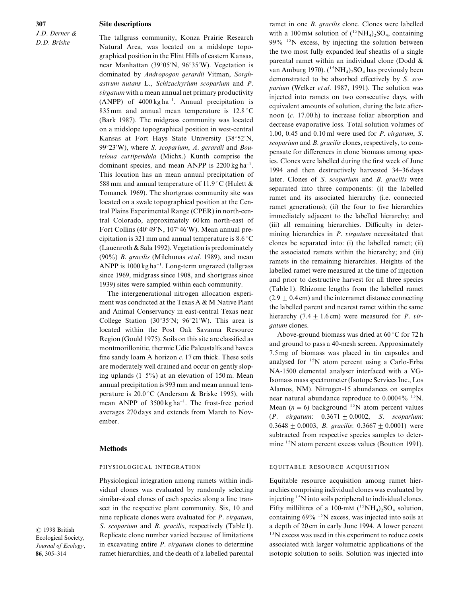307  $J.D.$  Derner  $\&$ D.D. Briske

#### Site descriptions

The tallgrass community, Konza Prairie Research Natural Area, was located on a midslope topographical position in the Flint Hills of eastern Kansas\ near Manhattan  $(39°05'N, 96°35'W)$ . Vegetation is dominated by Andropogon gerardii Vitman, Sorghastrum nutans  $L$ ., Schizachyrium scoparium and  $P$ .  $virgatum$  with a mean annual net primary productivity (ANPP) of  $4000 \text{ kg} \text{ ha}^{-1}$ . Annual precipitation is 835 mm and annual mean temperature is  $12.8^{\circ}$ C (Bark 1987). The midgrass community was located on a midslope topographical position in west-central Kansas at Fort Hays State University (38°52'N, 99 $^{\circ}$ 23'W), where S. scoparium, A. gerardii and Bouteloua curtipendula (Michx.) Kunth comprise the dominant species, and mean ANPP is  $2200 \text{ kg ha}^{-1}$ . This location has an mean annual precipitation of 588 mm and annual temperature of 11.9 °C (Hulett  $\&$ Tomanek 1969). The shortgrass community site was located on a swale topographical position at the Central Plains Experimental Range (CPER) in north-central Colorado, approximately 60 km north-east of Fort Collins (40°49′N, 107°46′W). Mean annual precipitation is 321 mm and annual temperature is  $8.6^{\circ}$ C (Lauenroth  $&$  Sala 1992). Vegetation is predominately (90%)  $B.$  gracilis (Milchunas et al. 1989), and mean ANPP is  $1000 \text{ kg} \, \text{ha}^{-1}$ . Long-term ungrazed (tallgrass since 1969, midgrass since 1908, and shortgrass since 1939) sites were sampled within each community.

The intergenerational nitrogen allocation experiment was conducted at the Texas A  $\&$  M Native Plant and Animal Conservancy in east-central Texas near College Station  $(30°35'N; 96°21'W)$ . This area is located within the Post Oak Savanna Resource Region (Gould 1975). Soils on this site are classified as montmorillonitic, thermic Udic Paleustalfs and have a fine sandy loam A horizon  $c$ . 17 cm thick. These soils are moderately well drained and occur on gently sloping uplands  $(1-5\%)$  at an elevation of 150 m. Mean annual precipitation is 993 mm and mean annual temperature is  $20.0 \degree C$  (Anderson & Briske 1995), with mean ANPP of  $3500 \text{ kg} \text{ ha}^{-1}$ . The frost-free period averages 270 days and extends from March to November.

## Methods

#### PHYSIOLOGICAL INTEGRATION

Physiological integration among ramets within individual clones was evaluated by randomly selecting similar-sized clones of each species along a line transect in the respective plant community. Six,  $10$  and nine replicate clones were evaluated for  $P$ . *virgatum*, S. scoparium and B. gracilis, respectively (Table 1). Replicate clone number varied because of limitations in excavating entire  $P$ , *viraatum* clones to determine ramet hierarchies, and the death of a labelled parental ramet in one  $B$ . *gracilis* clone. Clones were labelled with a 100 mM solution of  $(^{15}NH_4)_2SO_4$ , containing  $99\%$  <sup>15</sup>N excess, by injecting the solution between the two most fully expanded leaf sheaths of a single parental ramet within an individual clone (Dodd  $\&$ van Amburg 1970).  $(^{15}NH_4)_2SO_4$  has previously been demonstrated to be absorbed effectively by  $S.$  scoparium (Welker et al. 1987, 1991). The solution was injected into ramets on two consecutive days\ with equivalent amounts of solution, during the late afternoon  $(c. 17.00h)$  to increase foliar absorption and decrease evaporative loss. Total solution volumes of 1.00, 0.45 and 0.10 ml were used for  $P$ . virgatum, S. scoparium and  $B$ . gracilis clones, respectively, to compensate for differences in clone biomass among species. Clones were labelled during the first week of June 1994 and then destructively harvested 34–36 days later. Clones of  $S.$  scoparium and  $B.$  gracilis were separated into three components: (i) the labelled ramet and its associated hierarchy (i.e. connected ramet generations); (ii) the four to five hierarchies immediately adjacent to the labelled hierarchy; and (iii) all remaining hierarchies. Difficulty in determining hierarchies in  $P$ . virgatum necessitated that clones be separated into:  $(i)$  the labelled ramet;  $(ii)$ the associated ramets within the hierarchy; and (iii) ramets in the remaining hierarchies. Heights of the labelled ramet were measured at the time of injection and prior to destructive harvest for all three species (Table 1). Rhizome lengths from the labelled ramet  $(2.9 \pm 0.4 \text{ cm})$  and the interramet distance connecting the labelled parent and nearest ramet within the same hierarchy (7.4  $\pm$  1.6 cm) were measured for *P. vir*gatum clones.

Above-ground biomass was dried at  $60^{\circ}$ C for 72 h and ground to pass a 40-mesh screen. Approximately  $7.5 \text{ mg}$  of biomass was placed in tin capsules and analysed for  $15N$  atom percent using a Carlo-Erba NA-1500 elemental analyser interfaced with a VG-Isomass mass spectrometer (Isotope Services Inc., Los Alamos, NM). Nitrogen-15 abundances on samples near natural abundance reproduce to  $0.0004\%$  <sup>15</sup>N. Mean  $(n = 6)$  background <sup>15</sup>N atom percent values  $(P. virgatum: 0.3671 \pm 0.0002, S. scoparium:$ 0.3648  $\pm$  0.0003, *B. gracilis*: 0.3667  $\pm$  0.0001) were subtracted from respective species samples to determine  $15$ N atom percent excess values (Boutton 1991).

## EQUITABLE RESOURCE ACQUISITION

Equitable resource acquisition among ramet hierarchies comprising individual clones was evaluated by injecting  $15$ N into soils peripheral to individual clones. Fifty millilitres of a 100-mM  $(^{15}NH_4)_2SO_4$  solution, containing  $69\%$ <sup>15</sup>N excess, was injected into soils at a depth of 20 cm in early June 1994. A lower percent  $15$ N excess was used in this experiment to reduce costs associated with larger volumetric applications of the isotopic solution to soils. Solution was injected into

 $© 1998 British$ Ecological Society, Journal of Ecology. 86, 305-314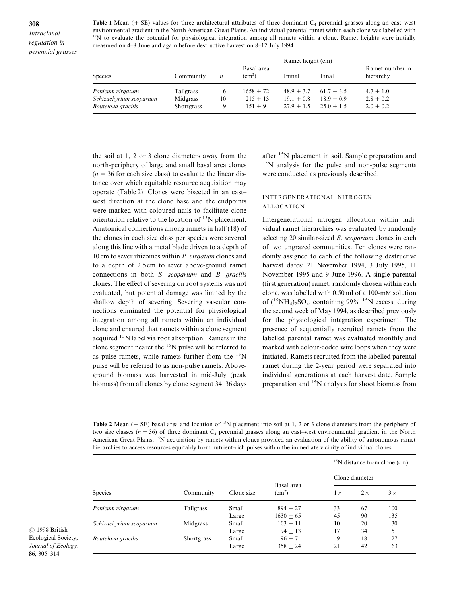308 Intraclonal regulation in perennial grasses Table 1 Mean  $(\pm S)$  values for three architectural attributes of three dominant C<sub>4</sub> perennial grasses along an east–west environmental gradient in the North American Great Plains. An individual parental ramet within each clone was labelled with  $15N$  to evaluate the potential for physiological integration among all ramets within a clone. Ramet heights were initially measured on 4–8 June and again before destructive harvest on 8–12 July 1994

|                                                                   |                                            |              |                                        | Ramet height (cm)                            |                                              |                                             |
|-------------------------------------------------------------------|--------------------------------------------|--------------|----------------------------------------|----------------------------------------------|----------------------------------------------|---------------------------------------------|
| <b>Species</b>                                                    | Community                                  | n            | Basal area<br>(cm <sup>2</sup> )       | Initial                                      | Final                                        | Ramet number in<br>hierarchy                |
| Panicum virgatum<br>Schizachyrium scoparium<br>Bouteloua gracilis | <b>Tallgrass</b><br>Midgrass<br>Shortgrass | O<br>10<br>9 | $1658 + 72$<br>$215 + 13$<br>$151 + 9$ | $48.9 + 3.7$<br>$19.1 + 0.8$<br>$27.9 + 1.5$ | $61.7 + 3.5$<br>$18.9 + 0.9$<br>$25.0 + 1.5$ | $4.7 + 1.0$<br>$2.8 + 0.2$<br>$2.0 \pm 0.2$ |

the soil at  $1, 2$  or  $3$  clone diameters away from the north-periphery of large and small basal area clones  $(n = 36$  for each size class) to evaluate the linear distance over which equitable resource acquisition may operate (Table 2). Clones were bisected in an east– west direction at the clone base and the endpoints were marked with coloured nails to facilitate clone orientation relative to the location of  $^{15}N$  placement. Anatomical connections among ramets in half  $(18)$  of the clones in each size class per species were severed along this line with a metal blade driven to a depth of 10 cm to sever rhizomes within  $P$ . *virgatum* clones and to a depth of 2.5cm to sever above-ground ramet connections in both  $S$ . scoparium and  $B$ , aracilis clones. The effect of severing on root systems was not evaluated\ but potential damage was limited by the shallow depth of severing. Severing vascular connections eliminated the potential for physiological integration among all ramets within an individual clone and ensured that ramets within a clone segment acquired  $15N$  label via root absorption. Ramets in the clone segment nearer the  $^{15}$ N pulse will be referred to as pulse ramets, while ramets further from the  $^{15}$ N pulse will be referred to as non-pulse ramets. Aboveground biomass was harvested in mid-July (peak biomass) from all clones by clone segment 34–36 days

after  $15N$  placement in soil. Sample preparation and  $15N$  analysis for the pulse and non-pulse segments were conducted as previously described.

## INTERGENERATIONAL NITROGEN ALLOCATION

Intergenerational nitrogen allocation within individual ramet hierarchies was evaluated by randomly selecting 20 similar-sized *S. scoparium* clones in each of two ungrazed communities. Ten clones were randomly assigned to each of the following destructive harvest dates:  $21$  November 1994,  $3$  July 1995, 11 November 1995 and 9 June 1996. A single parental (first generation) ramet, randomly chosen within each clone, was labelled with  $0.50$  ml of a 100-mM solution of  $(^{15}NH_4)_2SO_4$ , containing 99%  $^{15}N$  excess, during the second week of May 1994, as described previously for the physiological integration experiment. The presence of sequentially recruited ramets from the labelled parental ramet was evaluated monthly and marked with colour-coded wire loops when they were initiated. Ramets recruited from the labelled parental ramet during the 2-year period were separated into individual generations at each harvest date. Sample preparation and  $1<sup>5</sup>N$  analysis for shoot biomass from

**Table 2** Mean  $(\pm$  SE) basal area and location of <sup>15</sup>N placement into soil at 1, 2 or 3 clone diameters from the periphery of two size classes ( $n = 36$ ) of three dominant C<sub>4</sub> perennial grasses along an east–west environmental gradient in the North American Great Plains.  $15N$  acquisition by ramets within clones provided an evaluation of the ability of autonomous ramet hierarchies to access resources equitably from nutrient-rich pulses within the immediate vicinity of individual clones

|                         |                   | Clone size | Basal area<br>$\text{(cm}^2)$ | $\rm{^{15}N}$ distance from clone (cm) |            |            |  |
|-------------------------|-------------------|------------|-------------------------------|----------------------------------------|------------|------------|--|
| <b>Species</b>          |                   |            |                               | Clone diameter                         |            |            |  |
|                         | Community         |            |                               | $1\times$                              | $2 \times$ | $3 \times$ |  |
| Panicum virgatum        | Tallgrass         | Small      | $894 + 27$                    | 33                                     | 67         | 100        |  |
|                         |                   | Large      | $1630 + 65$                   | 45                                     | 90         | 135        |  |
| Schizachyrium scoparium | Midgrass          | Small      | $103 + 11$                    | 10                                     | 20         | 30         |  |
|                         |                   | Large      | $194 + 13$                    | 17                                     | 34         | 51         |  |
| Bouteloua gracilis      | <b>Shortgrass</b> | Small      | $96 + 7$                      | 9                                      | 18         | 27         |  |
|                         |                   | Large      | $358 + 24$                    | 21                                     | 42         | 63         |  |

 $© 1998 British$ Ecological Society\ Journal of Ecology, 86, 305-314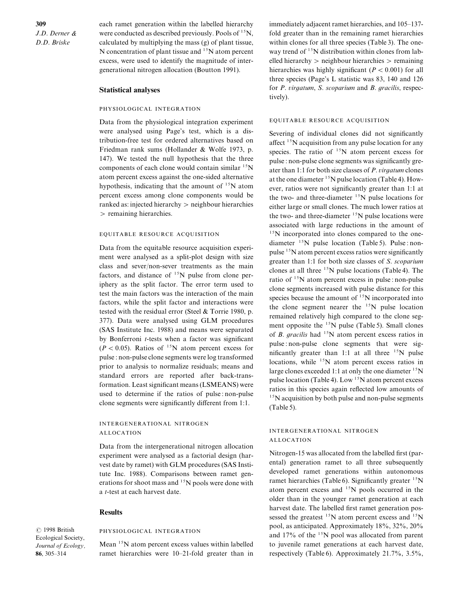309  $J.D.$  Derner  $&$ D.D. Briske

each ramet generation within the labelled hierarchy were conducted as described previously. Pools of  $^{15}N$ , calculated by multiplying the mass  $(g)$  of plant tissue, N concentration of plant tissue and  $15N$  atom percent excess, were used to identify the magnitude of intergenerational nitrogen allocation (Boutton 1991).

## Statistical analyses

#### PHYSIOLOGICAL INTEGRATION

Data from the physiological integration experiment were analysed using Page's test, which is a distribution-free test for ordered alternatives based on Friedman rank sums (Hollander & Wolfe 1973, p. 147). We tested the null hypothesis that the three components of each clone would contain similar  $15N$ atom percent excess against the one-sided alternative hypothesis, indicating that the amount of  $15N$  atom percent excess among clone components would be ranked as: injected hierarchy  $>$  neighbour hierarchies  $>$  remaining hierarchies.

#### EQUITABLE RESOURCE ACQUISITION

Data from the equitable resource acquisition experiment were analysed as a split-plot design with size class and sever/non-sever treatments as the main factors, and distance of  $15N$  pulse from clone periphery as the split factor. The error term used to test the main factors was the interaction of the main factors, while the split factor and interactions were tested with the residual error (Steel  $&$  Torrie 1980, p. 377). Data were analysed using GLM procedures (SAS Institute Inc. 1988) and means were separated by Bonferroni  $t$ -tests when a factor was significant  $(P < 0.05)$ . Ratios of <sup>15</sup>N atom percent excess for pulse : non-pulse clone segments were log transformed prior to analysis to normalize residuals; means and standard errors are reported after back-transformation. Least significant means (LSMEANS) were used to determine if the ratios of pulse : non-pulse clone segments were significantly different from  $1:1$ .

## INTERGENERATIONAL NITROGEN ALLOCATION

Data from the intergenerational nitrogen allocation experiment were analysed as a factorial design (harvest date by ramet) with GLM procedures (SAS Institute Inc. 1988). Comparisons between ramet generations for shoot mass and <sup>15</sup>N pools were done with a *t*-test at each harvest date.

#### Results

 $© 1998 British$ Ecological Society, Journal of Ecology. 86, 305-314

## PHYSIOLOGICAL INTEGRATION

Mean  $15N$  atom percent excess values within labelled ramet hierarchies were 10–21-fold greater than in immediately adjacent ramet hierarchies, and 105–137fold greater than in the remaining ramet hierarchies within clones for all three species (Table 3). The oneway trend of  $15N$  distribution within clones from labelled hierarchy  $>$  neighbour hierarchies  $>$  remaining hierarchies was highly significant ( $P < 0.001$ ) for all three species (Page's L statistic was 83, 140 and  $126$ for  $P$ . virgatum,  $S$ . scoparium and  $B$ . gracilis, respectively).

#### EQUITABLE RESOURCE ACQUISITION

Severing of individual clones did not significantly affect  $^{15}$ N acquisition from any pulse location for any species. The ratio of  $15N$  atom percent excess for pulse : non-pulse clone segments was significantly greater than 1:1 for both size classes of  $P$ . *virgatum* clones at the one diameter  $15N$  pulse location (Table 4). However, ratios were not significantly greater than 1:1 at the two- and three-diameter  $15N$  pulse locations for either large or small clones. The much lower ratios at the two- and three-diameter  $^{15}N$  pulse locations were associated with large reductions in the amount of  $15$ N incorporated into clones compared to the onediameter  $15N$  pulse location (Table 5). Pulse : nonpulse  $15N$  atom percent excess ratios were significantly greater than 1:1 for both size classes of  $S.$  scoparium clones at all three  $15N$  pulse locations (Table 4). The ratio of  $15N$  atom percent excess in pulse : non-pulse clone segments increased with pulse distance for this species because the amount of  $15N$  incorporated into the clone segment nearer the  $15N$  pulse location remained relatively high compared to the clone segment opposite the  $15N$  pulse (Table 5). Small clones of B. gracilis had  $15N$  atom percent excess ratios in pulse : non-pulse clone segments that were significantly greater than 1:1 at all three  $^{15}N$  pulse locations, while  $15N$  atom percent excess ratios in large clones exceeded 1:1 at only the one diameter  $^{15}$ N pulse location (Table 4). Low  $15N$  atom percent excess ratios in this species again reflected low amounts of  $15$ N acquisition by both pulse and non-pulse segments  $(Table 5)$ .

## INTERGENERATIONAL NITROGEN ALLOCATION

Nitrogen-15 was allocated from the labelled first (parental) generation ramet to all three subsequently developed ramet generations within autonomous ramet hierarchies (Table 6). Significantly greater  $15N$ atom percent excess and  $^{15}N$  pools occurred in the older than in the younger ramet generation at each harvest date. The labelled first ramet generation possessed the greatest  $^{15}N$  atom percent excess and  $^{15}N$ pool, as anticipated. Approximately  $18\%, 32\%, 20\%$ and  $17\%$  of the  $15N$  pool was allocated from parent to juvenile ramet generations at each harvest date. respectively (Table 6). Approximately  $21.7\%$ ,  $3.5\%$ ,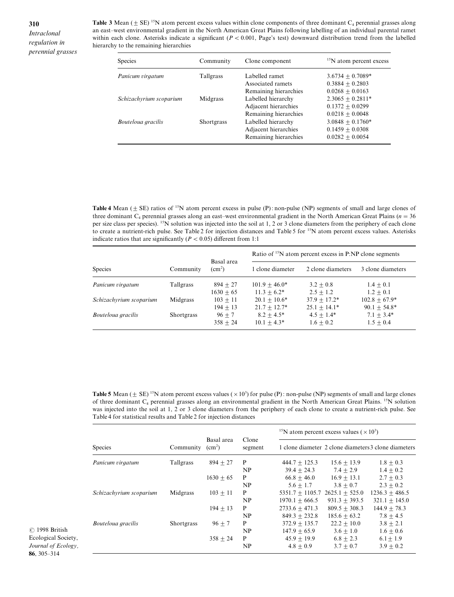Intraclonal regulation in perennial grasses **Table 3** Mean  $(\pm \text{ SE})$  <sup>15</sup>N atom percent excess values within clone components of three dominant C<sub>4</sub> perennial grasses along an east-west environmental gradient in the North American Great Plains following labelling of an individual parental ramet within each clone. Asterisks indicate a significant ( $P < 0.001$ , Page's test) downward distribution trend from the labelled hierarchy to the remaining hierarchies

| <b>Species</b><br>Community<br>Clone component |                  | <sup>15</sup> N atom percent excess |                    |  |
|------------------------------------------------|------------------|-------------------------------------|--------------------|--|
| Panicum virgatum                               | <b>Tallgrass</b> | Labelled ramet                      | $3.6734 + 0.7089*$ |  |
|                                                |                  | Associated ramets                   | $0.3884 + 0.2803$  |  |
|                                                |                  | Remaining hierarchies               | $0.0268 + 0.0163$  |  |
| Schizachyrium scoparium                        | Midgrass         | Labelled hierarchy                  | $2.3065 + 0.2811*$ |  |
|                                                |                  | Adjacent hierarchies                | $0.1372 + 0.0299$  |  |
|                                                |                  | Remaining hierarchies               | $0.0218 + 0.0048$  |  |
| Bouteloua gracilis                             | Shortgrass       | Labelled hierarchy                  | $3.0848 + 0.1760*$ |  |
|                                                |                  | Adjacent hierarchies                | $0.1459 + 0.0308$  |  |
|                                                |                  | Remaining hierarchies               | $0.0282 + 0.0054$  |  |

Table 4 Mean  $(\pm S\mathbf{E})$  ratios of <sup>15</sup>N atom percent excess in pulse (P): non-pulse (NP) segments of small and large clones of three dominant  $C_4$  perennial grasses along an east–west environmental gradient in the North American Great Plains ( $n = 36$ ) per size class per species). <sup>15</sup>N solution was injected into the soil at 1, 2 or 3 clone diameters from the periphery of each clone to create a nutrient-rich pulse. See Table 2 for injection distances and Table 5 for <sup>15</sup>N atom percent excess values. Asterisks indicate ratios that are significantly ( $P < 0.05$ ) different from 1:1

|                         |                   |                            | Ratio of <sup>15</sup> N atom percent excess in P:NP clone segments |                                |                                |  |
|-------------------------|-------------------|----------------------------|---------------------------------------------------------------------|--------------------------------|--------------------------------|--|
| <b>Species</b>          | Community         | Basal area<br>$\rm (cm^2)$ | 1 clone diameter                                                    | 2 clone diameters              | 3 clone diameters              |  |
| Panicum virgatum        | Tallgrass         | $894 + 27$                 | $101.9 + 46.0*$                                                     | $3.2 + 0.8$                    | $1.4 + 0.1$                    |  |
| Schizachyrium scoparium | Midgrass          | $1630 + 65$<br>$103 + 11$  | $11.3 + 6.2*$<br>$20.1 + 10.6*$                                     | $2.5 + 1.2$<br>$37.9 + 17.2*$  | $1.2 + 0.1$<br>$102.8 + 67.9*$ |  |
| Bouteloua gracilis      | <b>Shortgrass</b> | $194 + 13$<br>$96 + 7$     | $21.7 + 12.7*$<br>$8.2 + 4.5*$                                      | $25.1 + 14.1*$<br>$4.5 + 1.4*$ | $90.1 + 54.8*$<br>$7.1 + 3.4*$ |  |
|                         |                   | $358 + 24$                 | $10.1 + 4.3*$                                                       | $1.6 + 0.2$                    | $1.5 + 0.4$                    |  |

Table 5 Mean ( $\pm$  SE) <sup>15</sup>N atom percent excess values ( $\times$  10<sup>3</sup>) for pulse (P): non-pulse (NP) segments of small and large clones of three dominant  $C_4$  perennial grasses along an environmental gradient in the North American Great Plains.<sup>15</sup>N solution was injected into the soil at 1, 2 or 3 clone diameters from the periphery of each clone to create a nutrient-rich pulse. See Table 4 for statistical results and Table 2 for injection distances

|                         | Community  | Basal area<br>(cm <sup>2</sup> ) | Clone<br>segment | <sup>15</sup> N atom percent excess values ( $\times$ 10 <sup>3</sup> ) |                  |                                                      |  |
|-------------------------|------------|----------------------------------|------------------|-------------------------------------------------------------------------|------------------|------------------------------------------------------|--|
| <b>Species</b>          |            |                                  |                  |                                                                         |                  | 1 clone diameter 2 clone diameters 3 clone diameters |  |
| Panicum virgatum        | Tallgrass  | $894 + 27$                       | P                | $444.7 + 125.3$                                                         | $15.6 + 13.9$    | $1.8 + 0.3$                                          |  |
|                         |            |                                  | NP               | $39.4 + 24.3$                                                           | $7.4 + 2.9$      | $1.4 + 0.2$                                          |  |
|                         |            | $1630 + 65$                      | P                | $66.8 + 46.0$                                                           | $16.9 + 13.1$    | $2.7 + 0.3$                                          |  |
|                         |            |                                  | NP               | $5.6 + 1.7$                                                             | $3.8 + 0.7$      | $2.3 + 0.2$                                          |  |
| Schizachyrium scoparium | Midgrass   | $103 + 11$                       | P                | $5351.7 \pm 1105.7$                                                     | $2625.1 + 525.0$ | $1236.3 + 486.5$                                     |  |
|                         |            |                                  | NP               | $1970.1 + 666.5$                                                        | $931.3 + 393.5$  | $321.1 + 145.0$                                      |  |
|                         |            | $194 + 13$                       | P                | $2733.6 + 471.3$                                                        | $809.5 + 308.3$  | $144.9 + 78.3$                                       |  |
|                         |            |                                  | NP               | $849.3 + 232.8$                                                         | $185.6 + 63.2$   | $7.8 + 4.5$                                          |  |
| Bouteloua gracilis      | Shortgrass | $96 + 7$                         | P                | $372.9 + 135.7$                                                         | $22.2 + 10.0$    | $3.8 + 2.1$                                          |  |
|                         |            |                                  | NP               | $147.9 + 65.9$                                                          | $3.6 + 1.0$      | $1.6 + 0.6$                                          |  |
|                         |            | $358 + 24$                       | P                | $45.9 + 19.9$                                                           | $6.8 + 2.3$      | $6.1 \pm 1.9$                                        |  |
|                         |            |                                  | NP               | $4.8 + 0.9$                                                             | $3.7 + 0.7$      | $3.9 + 0.2$                                          |  |

 $© 1998 British$ Ecological Society, Journal of Ecology, 86, 305-314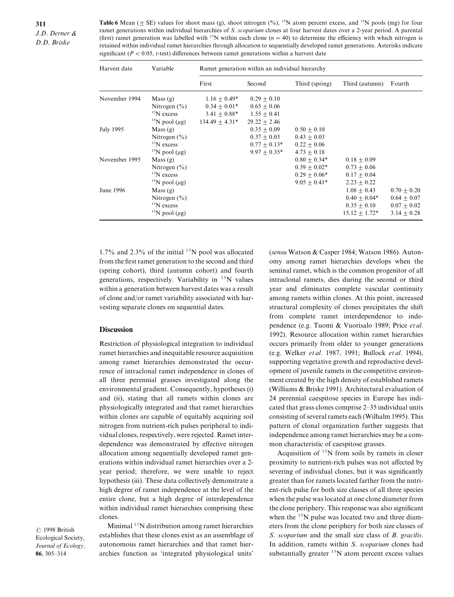| <b>Table 6</b> Mean ( $\pm$ SE) values for shoot mass (g), shoot nitrogen (%), <sup>15</sup> N atom percent excess, and <sup>15</sup> N pools (mg) for four |
|-------------------------------------------------------------------------------------------------------------------------------------------------------------|
| ramet generations within individual hierarchies of S. <i>scoparium</i> clones at four harvest dates over a 2-year period. A parental                        |
| (first) ramet generation was labelled with <sup>15</sup> N within each clone ( $n = 40$ ) to determine the efficiency with which nitrogen is                |
| retained within individual ramet hierarchies through allocation to sequentially developed ramet generations. Asterisks indicate                             |
| significant ( $P < 0.05$ , t-test) differences between ramet generations within a harvest date                                                              |

| Harvest date  | Variable                        | Ramet generation within an individual hierarchy |                |                |                 |                 |  |  |
|---------------|---------------------------------|-------------------------------------------------|----------------|----------------|-----------------|-----------------|--|--|
|               |                                 | First                                           | Second         | Third (spring) | Third (autumn)  | Fourth          |  |  |
| November 1994 | Mass(g)                         | $1.16 + 0.49*$                                  | $0.29 + 0.10$  |                |                 |                 |  |  |
|               | Nitrogen $(\% )$                | $0.34 + 0.01*$                                  | $0.65 + 0.06$  |                |                 |                 |  |  |
|               | $15N$ excess                    | $3.41 + 0.88*$                                  | $1.55 + 0.41$  |                |                 |                 |  |  |
|               | <sup>15</sup> N pool ( $\mu$ g) | $134.49 + 4.31*$                                | $29.22 + 2.46$ |                |                 |                 |  |  |
| July 1995     | Mass(g)                         |                                                 | $0.35 + 0.09$  | $0.50 + 0.10$  |                 |                 |  |  |
|               | Nitrogen $(\% )$                |                                                 | $0.37 + 0.03$  | $0.43 + 0.03$  |                 |                 |  |  |
|               | $\rm ^{15}N$ excess             |                                                 | $0.77 + 0.13*$ | $0.22 + 0.06$  |                 |                 |  |  |
|               | <sup>15</sup> N pool ( $\mu$ g) |                                                 | $9.97 + 0.35*$ | $4.73 + 0.18$  |                 |                 |  |  |
| November 1995 | Mass(g)                         |                                                 |                | $0.80 + 0.34*$ | $0.18 + 0.09$   |                 |  |  |
|               | Nitrogen $(\% )$                |                                                 |                | $0.39 + 0.02*$ | $0.73 + 0.06$   |                 |  |  |
|               | $\mathrm{^{15}N}$ excess        |                                                 |                | $0.29 + 0.06*$ | $0.17 + 0.04$   |                 |  |  |
|               | <sup>15</sup> N pool ( $\mu$ g) |                                                 |                | $9.05 + 0.41*$ | $2.23 + 0.22$   |                 |  |  |
| June 1996     | Mass(g)                         |                                                 |                |                | $1.08 + 0.43$   | $0.70 + 0.20$   |  |  |
|               | Nitrogen $(\% )$                |                                                 |                |                | $0.40 + 0.04*$  | $0.64 \pm 0.07$ |  |  |
|               | $15N$ excess                    |                                                 |                |                | $0.35 + 0.10$   | $0.07 + 0.02$   |  |  |
|               | <sup>15</sup> N pool ( $\mu$ g) |                                                 |                |                | $15.12 + 1.72*$ | $3.14 + 0.28$   |  |  |

1.7% and 2.3% of the initial  $15N$  pool was allocated from the first ramet generation to the second and third  $(spring cohort)$ , third  $(autumn cohort)$  and fourth generations, respectively. Variability in  $^{15}N$  values within a generation between harvest dates was a result of clone and/or ramet variability associated with harvesting separate clones on sequential dates.

## **Discussion**

Restriction of physiological integration to individual ramet hierarchies and inequitable resource acquisition among ramet hierarchies demonstrated the occurrence of intraclonal ramet independence in clones of all three perennial grasses investigated along the environmental gradient. Consequently, hypotheses (i) and (ii), stating that all ramets within clones are physiologically integrated and that ramet hierarchies within clones are capable of equitably acquiring soil nitrogen from nutrient-rich pulses peripheral to individual clones, respectively, were rejected. Ramet interdependence was demonstrated by effective nitrogen allocation among sequentially developed ramet generations within individual ramet hierarchies over a 2year period; therefore, we were unable to reject hypothesis (iii). These data collectively demonstrate a high degree of ramet independence at the level of the entire clone, but a high degree of interdependence within individual ramet hierarchies comprising these clones.

 $© 1998 British$ Ecological Society, Journal of Ecology. 86,  $305 - 314$ 

Minimal  $15N$  distribution among ramet hierarchies establishes that these clones exist as an assemblage of autonomous ramet hierarchies and that ramet hierarchies function as 'integrated physiological units'

 $(sensu$  Watson & Casper 1984; Watson 1986). Autonomy among ramet hierarchies develops when the seminal ramet, which is the common progenitor of all intraclonal ramets, dies during the second or third year and eliminates complete vascular continuity among ramets within clones. At this point, increased structural complexity of clones precipitates the shift from complete ramet interdependence to independence (e.g. Tuomi & Vuorisalo 1989; Price et al. 1992). Resource allocation within ramet hierarchies occurs primarily from older to younger generations (e.g. Welker et al. 1987, 1991; Bullock et al. 1994), supporting vegetative growth and reproductive development of juvenile ramets in the competitive environment created by the high density of established ramets (Williams  $&$  Briske 1991). Architectural evaluation of 24 perennial caespitose species in Europe has indicated that grass clones comprise  $2-35$  individual units consisting of several ramets each (Wilhalm 1995). This pattern of clonal organization further suggests that independence among ramet hierarchies may be a common characteristic of caespitose grasses.

Acquisition of  $15N$  from soils by ramets in closer proximity to nutrient-rich pulses was not affected by severing of individual clones, but it was significantly greater than for ramets located farther from the nutrient-rich pulse for both size classes of all three species when the pulse was located at one clone diameter from the clone periphery. This response was also significant when the  $15N$  pulse was located two and three diameters from the clone periphery for both size classes of S. scoparium and the small size class of  $B$ , gracilis. In addition, ramets within  $S$ , scoparium clones had substantially greater  $15N$  atom percent excess values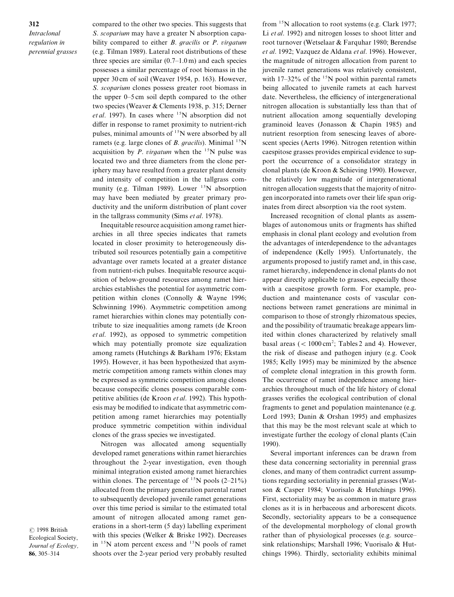312 Intraclonal regulation in perennial grasses compared to the other two species. This suggests that S. scoparium may have a greater N absorption capability compared to either  $B$ . gracilis or  $P$ . virgatum  $(e.g. Tilman 1989)$ . Lateral root distributions of these three species are similar  $(0.7–1.0 \,\mathrm{m})$  and each species possesses a similar percentage of root biomass in the upper 30 cm of soil (Weaver 1954, p. 163). However, S. scoparium clones possess greater root biomass in the upper  $0-5$  cm soil depth compared to the other two species (Weaver & Clements 1938, p. 315; Derner et al. 1997). In cases where  $^{15}N$  absorption did not differ in response to ramet proximity to nutrient-rich pulses, minimal amounts of  $15N$  were absorbed by all ramets (e.g. large clones of B. gracilis). Minimal  $^{15}N$ acquisition by P. virgatum when the  $^{15}N$  pulse was located two and three diameters from the clone periphery may have resulted from a greater plant density and intensity of competition in the tallgrass community (e.g. Tilman 1989). Lower  $^{15}N$  absorption may have been mediated by greater primary productivity and the uniform distribution of plant cover in the tallgrass community (Sims  $et al.$  1978).

Inequitable resource acquisition among ramet hierarchies in all three species indicates that ramets located in closer proximity to heterogeneously distributed soil resources potentially gain a competitive advantage over ramets located at a greater distance from nutrient-rich pulses. Inequitable resource acquisition of below-ground resources among ramet hierarchies establishes the potential for asymmetric competition within clones (Connolly  $&$  Wayne 1996; Schwinning 1996). Asymmetric competition among ramet hierarchies within clones may potentially contribute to size inequalities among ramets (de Kroon  $et al.$  1992), as opposed to symmetric competition which may potentially promote size equalization among ramets (Hutchings & Barkham 1976; Ekstam 1995). However, it has been hypothesized that asymmetric competition among ramets within clones may be expressed as symmetric competition among clones because conspecific clones possess comparable competitive abilities (de Kroon et al. 1992). This hypothesis may be modified to indicate that asymmetric competition among ramet hierarchies may potentially produce symmetric competition within individual clones of the grass species we investigated.

Nitrogen was allocated among sequentially developed ramet generations within ramet hierarchies throughout the 2-year investigation, even though minimal integration existed among ramet hierarchies within clones. The percentage of  $15N$  pools  $(2-21\%)$ allocated from the primary generation parental ramet to subsequently developed juvenile ramet generations over this time period is similar to the estimated total amount of nitrogen allocated among ramet generations in a short-term  $(5 \text{ day})$  labelling experiment with this species (Welker  $\&$  Briske 1992). Decreases in  $15N$  atom percent excess and  $15N$  pools of ramet shoots over the 2-year period very probably resulted from  $15N$  allocation to root systems (e.g. Clark 1977; Li  $et al.$  1992) and nitrogen losses to shoot litter and root turnover (Wetselaar & Farquhar 1980; Berendse et al. 1992; Vazquez de Aldana et al. 1996). However, the magnitude of nitrogen allocation from parent to juvenile ramet generations was relatively consistent\ with 17-32% of the  $15N$  pool within parental ramets being allocated to juvenile ramets at each harvest date. Nevertheless, the efficiency of intergenerational nitrogen allocation is substantially less than that of nutrient allocation among sequentially developing graminoid leaves (Jonasson  $&$  Chapin 1985) and nutrient resorption from senescing leaves of aborescent species (Aerts 1996). Nitrogen retention within caespitose grasses provides empirical evidence to support the occurrence of a consolidator strategy in clonal plants (de Kroon  $&$  Schieving 1990). However, the relatively low magnitude of intergenerational nitrogen allocation suggests that the majority of nitrogen incorporated into ramets over their life span originates from direct absorption via the root system.

Increased recognition of clonal plants as assemblages of autonomous units or fragments has shifted emphasis in clonal plant ecology and evolution from the advantages of interdependence to the advantages of independence (Kelly 1995). Unfortunately, the arguments proposed to justify ramet and, in this case, ramet hierarchy, independence in clonal plants do not appear directly applicable to grasses, especially those with a caespitose growth form. For example, production and maintenance costs of vascular connections between ramet generations are minimal in comparison to those of strongly rhizomatous species\ and the possibility of traumatic breakage appears limited within clones characterized by relatively small basal areas  $\left($  < 1000 cm<sup>2</sup>; Tables 2 and 4). However, the risk of disease and pathogen injury (e.g. Cook 1985; Kelly 1995) may be minimized by the absence of complete clonal integration in this growth form. The occurrence of ramet independence among hierarchies throughout much of the life history of clonal grasses verifies the ecological contribution of clonal fragments to genet and population maintenance  $(e.g.,)$ Lord 1993; Danin & Orshan 1995) and emphasizes that this may be the most relevant scale at which to investigate further the ecology of clonal plants (Cain 1990).

Several important inferences can be drawn from these data concerning sectoriality in perennial grass clones, and many of them contradict current assumptions regarding sectoriality in perennial grasses (Watson & Casper 1984; Vuorisalo & Hutchings 1996). First, sectoriality may be as common in mature grass clones as it is in herbaceous and arborescent dicots. Secondly, sectoriality appears to be a consequence of the developmental morphology of clonal growth rather than of physiological processes (e.g. source– sink relationships; Marshall 1996; Vuorisalo  $\&$  Hutchings 1996). Thirdly, sectoriality exhibits minimal

 $© 1998 British$ Ecological Society\ Journal of Ecology, 86, 305-314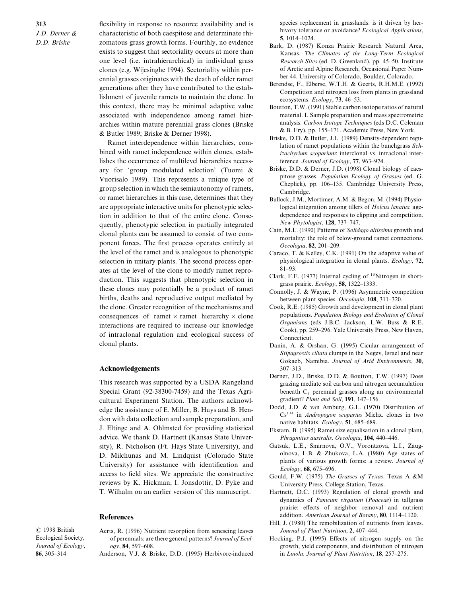313  $J.D.$  Derner  $\&$ D.D. Briske

flexibility in response to resource availability and is characteristic of both caespitose and determinate rhizomatous grass growth forms. Fourthly, no evidence exists to suggest that sectoriality occurs at more than one level (i.e. intrahierarchical) in individual grass clones (e.g. Wijesinghe 1994). Sectoriality within perennial grasses originates with the death of older ramet generations after they have contributed to the establishment of juvenile ramets to maintain the clone. In this context, there may be minimal adaptive value associated with independence among ramet hierarchies within mature perennial grass clones (Briske & Butler 1989; Briske & Derner 1998).

Ramet interdependence within hierarchies, combined with ramet independence within clones, establishes the occurrence of multilevel hierarchies necessary for 'group modulated selection' (Tuomi  $\&$ Vuorisalo 1989). This represents a unique type of group selection in which the semiautonomy of ramets\ or ramet hierarchies in this case, determines that they are appropriate interactive units for phenotypic selection in addition to that of the entire clone. Consequently\ phenotypic selection in partially integrated clonal plants can be assumed to consist of two component forces. The first process operates entirely at the level of the ramet and is analogous to phenotypic selection in unitary plants. The second process operates at the level of the clone to modify ramet reproduction. This suggests that phenotypic selection in these clones may potentially be a product of ramet births, deaths and reproductive output mediated by the clone. Greater recognition of the mechanisms and consequences of ramet  $\times$  ramet hierarchy  $\times$  clone interactions are required to increase our knowledge of intraclonal regulation and ecological success of clonal plants.

### Acknowledgements

This research was supported by a USDA Rangeland Special Grant (92-38300-7459) and the Texas Agricultural Experiment Station. The authors acknowledge the assistance of E. Miller, B. Hays and B. Hendon with data collection and sample preparation\ and J. Eltinge and A. Ohlmsted for providing statistical advice. We thank D. Hartnett (Kansas State University), R. Nicholson (Ft. Hays State University), and D. Milchunas and M. Lindquist (Colorado State University) for assistance with identification and access to field sites. We appreciate the constructive reviews by K. Hickman, I. Jonsdottir, D. Pyke and T. Wilhalm on an earlier version of this manuscript.

#### References

 $© 1998 British$ Ecological Society, Journal of Ecology. 86, 305-314

- Aerts, R. (1996) Nutrient resorption from senescing leaves of perennials: are there general patterns? Journal of Ecol $ogy, 84, 597-608.$
- Anderson, V.J. & Briske, D.D. (1995) Herbivore-induced

species replacement in grasslands: is it driven by herbivory tolerance or avoidance? Ecological Applications, 5,  $1014 - 1024$ .

- Bark, D. (1987) Konza Prairie Research Natural Area, Kansas. The Climates of the Long-Term Ecological Research Sites (ed. D. Greenland), pp. 45–50. Institute of Arctic and Alpine Research, Occasional Paper Number 44. University of Colorado, Boulder, Colorado.
- Berendse, F., Elberse, W.T.H. & Geerts, R.H.M.E. (1992) Competition and nitrogen loss from plants in grassland ecosystems.  $Ecology, 73, 46-53$ .
- Boutton, T.W. (1991) Stable carbon isotope ratios of natural material. I. Sample preparation and mass spectrometric analysis. Carbon Isotope Techniques (eds D.C. Coleman  $&$  B. Fry), pp. 155–171. Academic Press, New York.
- Briske, D.D. & Butler, J.L. (1989) Density-dependent regulation of ramet populations within the bunchgrass  $Sch$ izachyrium scoparium: interclonal vs. intraclonal interference. Journal of Ecology,  $77, 963-974$ .
- Briske, D.D. & Derner, J.D. (1998) Clonal biology of caespitose grasses. Population Ecology of Grasses (ed. G. Cheplick), pp. 106–135. Cambridge University Press, Cambridge.
- Bullock, J.M., Mortimer, A.M. & Begon, M. (1994) Physiological integration among tillers of Holcus lanatus: agedependence and responses to clipping and competition. New Phytologist,  $128$ ,  $737-747$ .
- Cain, M.L. (1990) Patterns of Solidago altissima growth and mortality: the role of below-ground ramet connections.  $Oecologia, 82, 201-209.$
- Caraco, T. & Kelley, C.K. (1991) On the adaptive value of physiological integration in clonal plants.  $Ecology$ , 72,  $81 - 93$
- Clark, F.E. (1977) Internal cycling of  $15$ Nitrogen in shortgrass prairie.  $Ecology, 58, 1322-1333$ .
- Connolly, J. & Wayne, P. (1996) Asymmetric competition between plant species. Oecologia, 108, 311-320.
- Cook, R.E. (1985) Growth and development in clonal plant populations. Population Biology and Evolution of Clonal Organisms (eds J.B.C. Jackson, L.W. Buss  $\&$  R.E. Cook), pp. 259–296. Yale University Press, New Haven, Connecticut.
- Danin, A. & Orshan, G. (1995) Cicular arrangement of Stipagrostis ciliata clumps in the Negev, Israel and near Gokaeb, Namibia. Journal of Arid Environments, 30,  $307 - 313$
- Derner, J.D., Briske, D.D. & Boutton, T.W. (1997) Does grazing mediate soil carbon and nitrogen accumulation beneath  $C_4$  perennial grasses along an environmental gradient? Plant and Soil, 191, 147-156.
- Dodd, J.D. & van Amburg, G.L. (1970) Distribution of  $Cs^{134}$  in Andropogon scoparius Michx. clones in two native habitats.  $Ecology, 51, 685-689.$
- Ekstam, B.  $(1995)$  Ramet size equalisation in a clonal plant, Phragmites australis. Oecologia, 104, 440-446.
- Gatsuk, L.E., Smirnova, O.V., Vorontzova, L.I., Zaugolnova, L.B. & Zhukova, L.A.  $(1980)$  Age states of plants of various growth forms: a review. Journal of  $Ecology, 68, 675-696.$
- Gould, F.W. (1975) The Grasses of Texas. Texas A &M University Press, College Station, Texas.
- Hartnett, D.C. (1993) Regulation of clonal growth and dynamics of *Panicum virgatum* (*Poaceae*) in tallgrass prairie: effects of neighbor removal and nutrient addition. American Journal of Botany,  $80, 1114-1120$ .
- Hill, J. (1980) The remobilization of nutrients from leaves. Journal of Plant Nutrition, 2, 407-444.
- Hocking, P.J. (1995) Effects of nitrogen supply on the growth, yield components, and distribution of nitrogen in Linola. Journal of Plant Nutrition,  $18, 257-275$ .